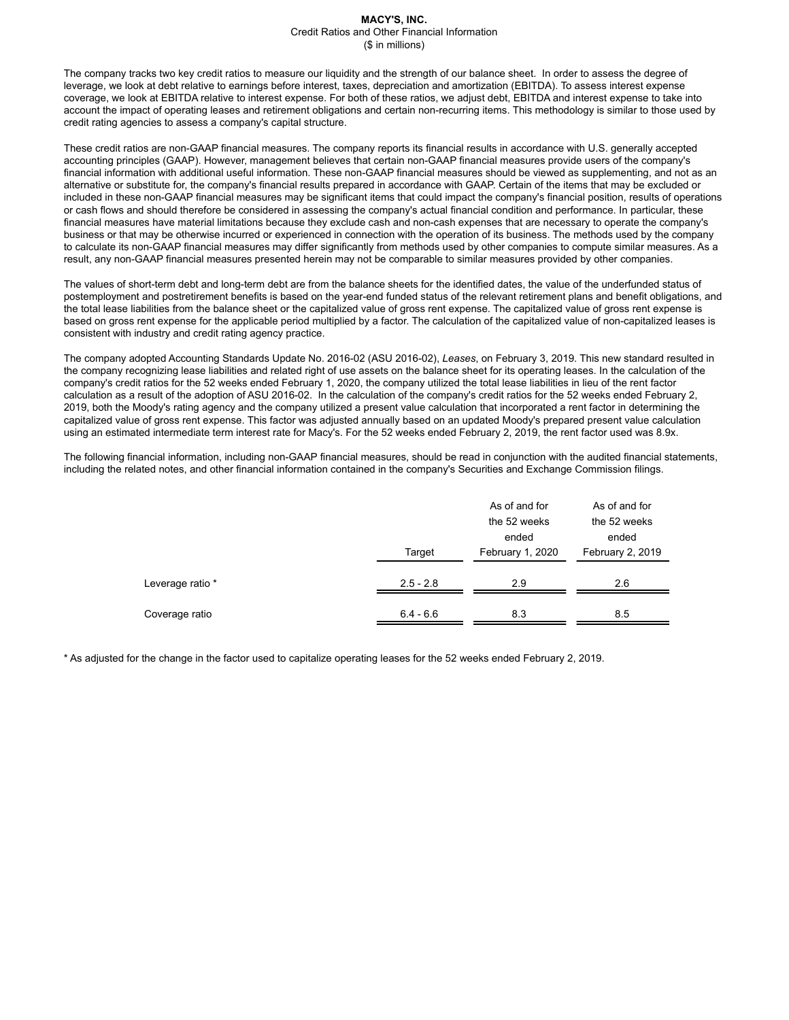#### **MACY'S, INC.** Credit Ratios and Other Financial Information (\$ in millions)

The company tracks two key credit ratios to measure our liquidity and the strength of our balance sheet. In order to assess the degree of leverage, we look at debt relative to earnings before interest, taxes, depreciation and amortization (EBITDA). To assess interest expense coverage, we look at EBITDA relative to interest expense. For both of these ratios, we adjust debt, EBITDA and interest expense to take into account the impact of operating leases and retirement obligations and certain non-recurring items. This methodology is similar to those used by credit rating agencies to assess a company's capital structure.

These credit ratios are non-GAAP financial measures. The company reports its financial results in accordance with U.S. generally accepted accounting principles (GAAP). However, management believes that certain non-GAAP financial measures provide users of the company's financial information with additional useful information. These non-GAAP financial measures should be viewed as supplementing, and not as an alternative or substitute for, the company's financial results prepared in accordance with GAAP. Certain of the items that may be excluded or included in these non-GAAP financial measures may be significant items that could impact the company's financial position, results of operations or cash flows and should therefore be considered in assessing the company's actual financial condition and performance. In particular, these financial measures have material limitations because they exclude cash and non-cash expenses that are necessary to operate the company's business or that may be otherwise incurred or experienced in connection with the operation of its business. The methods used by the company to calculate its non-GAAP financial measures may differ significantly from methods used by other companies to compute similar measures. As a result, any non-GAAP financial measures presented herein may not be comparable to similar measures provided by other companies.

The values of short-term debt and long-term debt are from the balance sheets for the identified dates, the value of the underfunded status of postemployment and postretirement benefits is based on the year-end funded status of the relevant retirement plans and benefit obligations, and the total lease liabilities from the balance sheet or the capitalized value of gross rent expense. The capitalized value of gross rent expense is based on gross rent expense for the applicable period multiplied by a factor. The calculation of the capitalized value of non-capitalized leases is consistent with industry and credit rating agency practice.

The company adopted Accounting Standards Update No. 2016-02 (ASU 2016-02), *Leases*, on February 3, 2019. This new standard resulted in the company recognizing lease liabilities and related right of use assets on the balance sheet for its operating leases. In the calculation of the company's credit ratios for the 52 weeks ended February 1, 2020, the company utilized the total lease liabilities in lieu of the rent factor calculation as a result of the adoption of ASU 2016-02. In the calculation of the company's credit ratios for the 52 weeks ended February 2, 2019, both the Moody's rating agency and the company utilized a present value calculation that incorporated a rent factor in determining the capitalized value of gross rent expense. This factor was adjusted annually based on an updated Moody's prepared present value calculation using an estimated intermediate term interest rate for Macy's. For the 52 weeks ended February 2, 2019, the rent factor used was 8.9x.

The following financial information, including non-GAAP financial measures, should be read in conjunction with the audited financial statements, including the related notes, and other financial information contained in the company's Securities and Exchange Commission filings.

|                  |                       | As of and for<br>the 52 weeks<br>ended | As of and for<br>the 52 weeks<br>ended |
|------------------|-----------------------|----------------------------------------|----------------------------------------|
| Leverage ratio * | Target<br>$2.5 - 2.8$ | February 1, 2020<br>2.9                | February 2, 2019<br>2.6                |
| Coverage ratio   | $6.4 - 6.6$           | 8.3                                    | 8.5                                    |

\* As adjusted for the change in the factor used to capitalize operating leases for the 52 weeks ended February 2, 2019.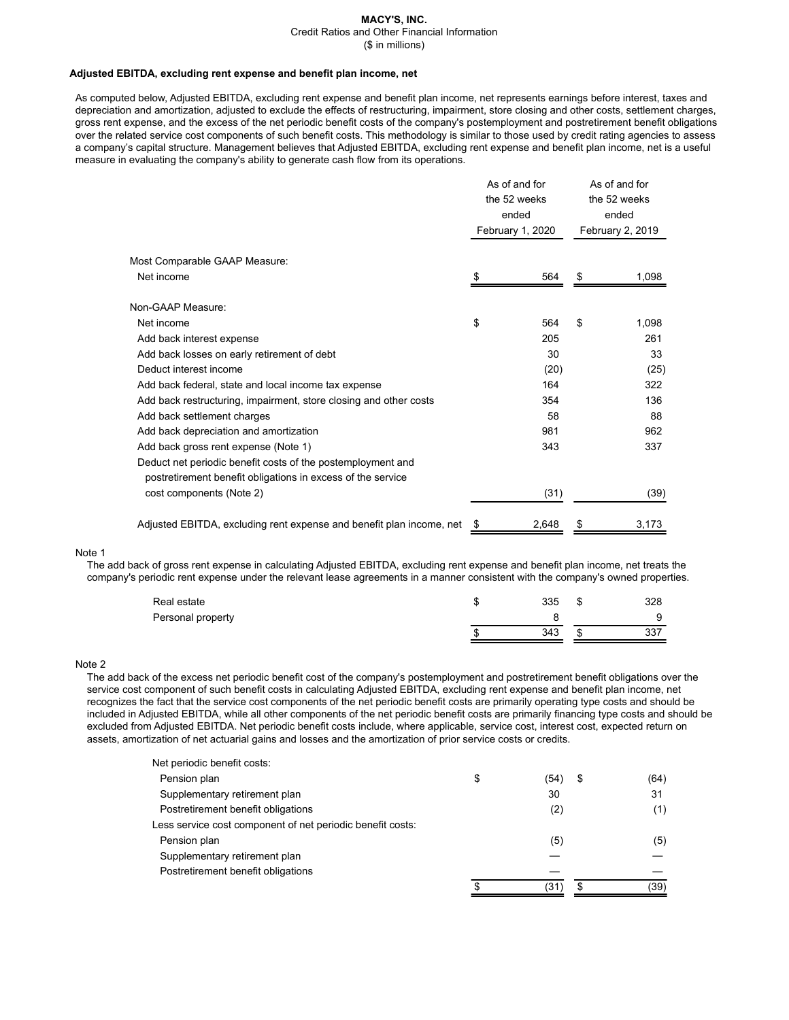# **MACY'S, INC.**

Credit Ratios and Other Financial Information

(\$ in millions)

#### **Adjusted EBITDA, excluding rent expense and benefit plan income, net**

As computed below, Adjusted EBITDA, excluding rent expense and benefit plan income, net represents earnings before interest, taxes and depreciation and amortization, adjusted to exclude the effects of restructuring, impairment, store closing and other costs, settlement charges, gross rent expense, and the excess of the net periodic benefit costs of the company's postemployment and postretirement benefit obligations over the related service cost components of such benefit costs. This methodology is similar to those used by credit rating agencies to assess a company's capital structure. Management believes that Adjusted EBITDA, excluding rent expense and benefit plan income, net is a useful measure in evaluating the company's ability to generate cash flow from its operations.

|                                                                      |    | As of and for<br>the 52 weeks<br>ended<br>February 1, 2020 |    | As of and for<br>the 52 weeks<br>ended<br>February 2, 2019 |  |
|----------------------------------------------------------------------|----|------------------------------------------------------------|----|------------------------------------------------------------|--|
| Most Comparable GAAP Measure:                                        |    |                                                            |    |                                                            |  |
| Net income                                                           | S  | 564                                                        | \$ | 1,098                                                      |  |
| Non-GAAP Measure:                                                    |    |                                                            |    |                                                            |  |
| Net income                                                           | \$ | 564                                                        | \$ | 1,098                                                      |  |
| Add back interest expense                                            |    | 205                                                        |    | 261                                                        |  |
| Add back losses on early retirement of debt                          |    | 30                                                         |    | 33                                                         |  |
| Deduct interest income                                               |    | (20)                                                       |    | (25)                                                       |  |
| Add back federal, state and local income tax expense                 |    | 164                                                        |    | 322                                                        |  |
| Add back restructuring, impairment, store closing and other costs    |    | 354                                                        |    | 136                                                        |  |
| Add back settlement charges                                          |    | 58                                                         |    | 88                                                         |  |
| Add back depreciation and amortization                               |    | 981                                                        |    | 962                                                        |  |
| Add back gross rent expense (Note 1)                                 |    | 343                                                        |    | 337                                                        |  |
| Deduct net periodic benefit costs of the postemployment and          |    |                                                            |    |                                                            |  |
| postretirement benefit obligations in excess of the service          |    |                                                            |    |                                                            |  |
| cost components (Note 2)                                             |    | (31)                                                       |    | (39)                                                       |  |
| Adjusted EBITDA, excluding rent expense and benefit plan income, net | \$ | 2,648                                                      | \$ | 3,173                                                      |  |

#### Note 1

The add back of gross rent expense in calculating Adjusted EBITDA, excluding rent expense and benefit plan income, net treats the company's periodic rent expense under the relevant lease agreements in a manner consistent with the company's owned properties.

| Real estate       | 335 | \$ | 328 |
|-------------------|-----|----|-----|
| Personal property |     |    |     |
|                   | 343 | Ф  | 337 |

## Note 2

The add back of the excess net periodic benefit cost of the company's postemployment and postretirement benefit obligations over the service cost component of such benefit costs in calculating Adjusted EBITDA, excluding rent expense and benefit plan income, net recognizes the fact that the service cost components of the net periodic benefit costs are primarily operating type costs and should be included in Adjusted EBITDA, while all other components of the net periodic benefit costs are primarily financing type costs and should be excluded from Adjusted EBITDA. Net periodic benefit costs include, where applicable, service cost, interest cost, expected return on assets, amortization of net actuarial gains and losses and the amortization of prior service costs or credits.

| Net periodic benefit costs:                                |    |      |    |      |
|------------------------------------------------------------|----|------|----|------|
| Pension plan                                               | \$ | (54) | \$ | (64) |
| Supplementary retirement plan                              |    | 30   |    | 31   |
| Postretirement benefit obligations                         |    | (2)  |    | (1)  |
| Less service cost component of net periodic benefit costs: |    |      |    |      |
| Pension plan                                               |    | (5)  |    | (5)  |
| Supplementary retirement plan                              |    |      |    |      |
| Postretirement benefit obligations                         |    |      |    |      |
|                                                            | c  | (31  | S  | (39) |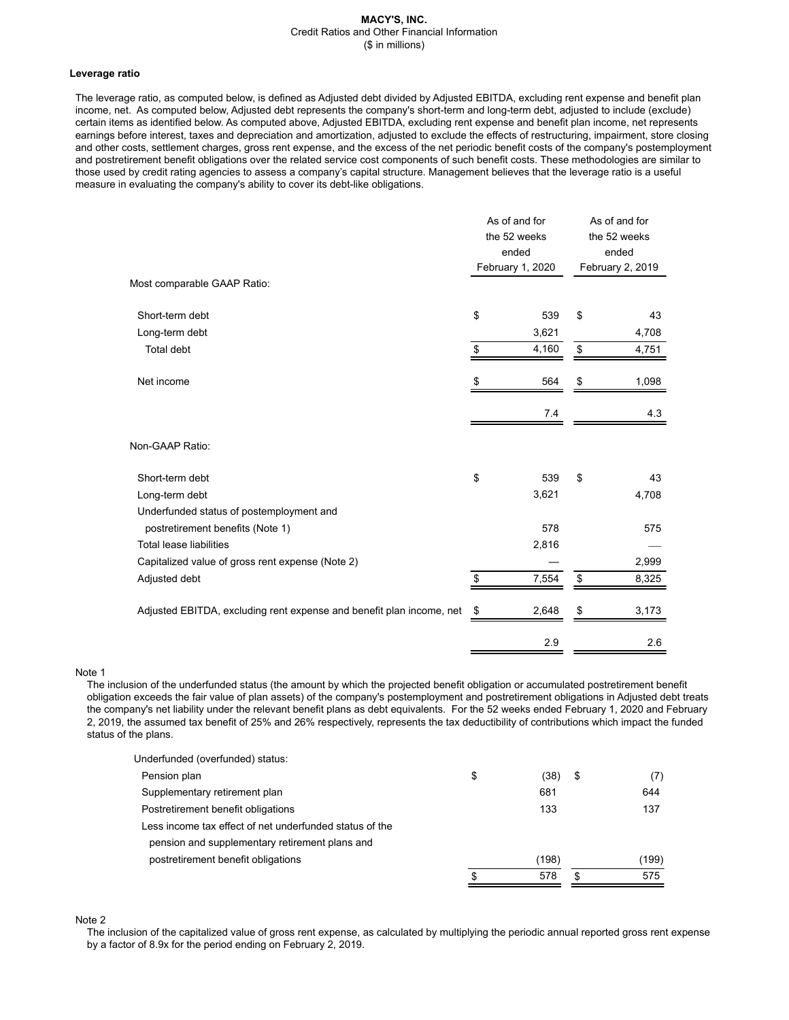#### **MACY'S, INC.** Credit Ratios and Other Financial Information (\$ in millions)

#### **Leverage ratio**

The leverage ratio, as computed below, is defined as Adjusted debt divided by Adjusted EBITDA, excluding rent expense and benefit plan income, net. As computed below, Adjusted debt represents the company's short-term and long-term debt, adjusted to include (exclude) certain items as identified below. As computed above, Adjusted EBITDA, excluding rent expense and benefit plan income, net represents earnings before interest, taxes and depreciation and amortization, adjusted to exclude the effects of restructuring, impairment, store closing and other costs, settlement charges, gross rent expense, and the excess of the net periodic benefit costs of the company's postemployment and postretirement benefit obligations over the related service cost components of such benefit costs. These methodologies are similar to those used by credit rating agencies to assess a company's capital structure. Management believes that the leverage ratio is a useful measure in evaluating the company's ability to cover its debt-like obligations.

|                                                                      | As of and for<br>the 52 weeks<br>ended<br>February 1, 2020 |       | As of and for<br>the 52 weeks<br>ended<br>February 2, 2019 |       |
|----------------------------------------------------------------------|------------------------------------------------------------|-------|------------------------------------------------------------|-------|
| Most comparable GAAP Ratio:                                          |                                                            |       |                                                            |       |
| Short-term debt                                                      | \$                                                         | 539   | \$                                                         | 43    |
| Long-term debt                                                       |                                                            | 3,621 |                                                            | 4,708 |
| Total debt                                                           | \$                                                         | 4,160 | \$                                                         | 4,751 |
| Net income                                                           | \$                                                         | 564   | \$                                                         | 1,098 |
|                                                                      |                                                            | 7.4   |                                                            | 4.3   |
| Non-GAAP Ratio:                                                      |                                                            |       |                                                            |       |
| Short-term debt                                                      | \$                                                         | 539   | \$                                                         | 43    |
| Long-term debt                                                       |                                                            | 3,621 |                                                            | 4,708 |
| Underfunded status of postemployment and                             |                                                            |       |                                                            |       |
| postretirement benefits (Note 1)                                     |                                                            | 578   |                                                            | 575   |
| <b>Total lease liabilities</b>                                       |                                                            | 2,816 |                                                            |       |
| Capitalized value of gross rent expense (Note 2)                     |                                                            |       |                                                            | 2,999 |
| Adjusted debt                                                        | \$                                                         | 7,554 | \$                                                         | 8,325 |
| Adjusted EBITDA, excluding rent expense and benefit plan income, net | \$                                                         | 2,648 |                                                            | 3,173 |
|                                                                      |                                                            | 2.9   |                                                            | 2.6   |

Note 1

The inclusion of the underfunded status (the amount by which the projected benefit obligation or accumulated postretirement benefit obligation exceeds the fair value of plan assets) of the company's postemployment and postretirement obligations in Adjusted debt treats the company's net liability under the relevant benefit plans as debt equivalents. For the 52 weeks ended February 1, 2020 and February 2, 2019, the assumed tax benefit of 25% and 26% respectively, represents the tax deductibility of contributions which impact the funded status of the plans.

| Underfunded (overfunded) status:                        |    |       |           |
|---------------------------------------------------------|----|-------|-----------|
| Pension plan                                            | \$ | (38)  | \$<br>(7) |
| Supplementary retirement plan                           |    | 681   | 644       |
| Postretirement benefit obligations                      |    | 133   | 137       |
| Less income tax effect of net underfunded status of the |    |       |           |
| pension and supplementary retirement plans and          |    |       |           |
| postretirement benefit obligations                      |    | (198) | (199)     |
|                                                         | S  | 578   | \$<br>575 |
|                                                         |    |       |           |

Note 2

The inclusion of the capitalized value of gross rent expense, as calculated by multiplying the periodic annual reported gross rent expense by a factor of 8.9x for the period ending on February 2, 2019.